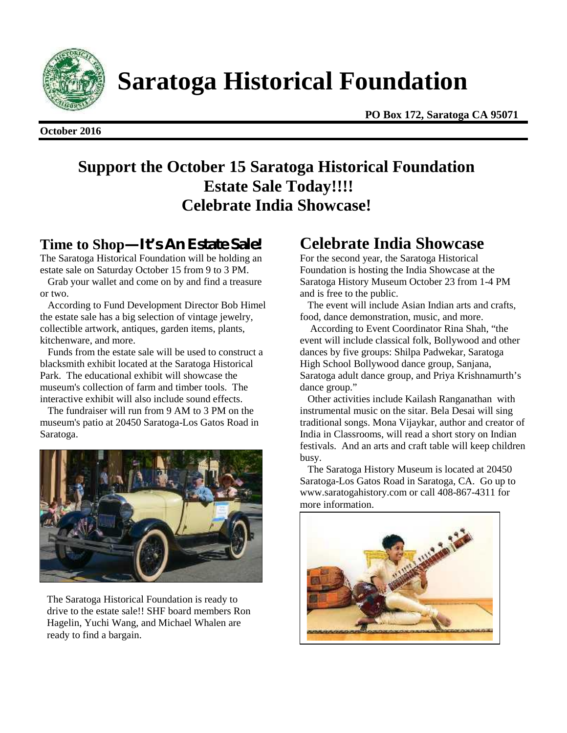

**Saratoga Historical Foundation**

**October 2016**

**PO Box 172, Saratoga CA 95071**

# **Support the October 15 Saratoga Historical Foundation Estate Sale Today!!!! Celebrate India Showcase!**

# **Time to Shop—It's An Estate Sale!**

The Saratoga Historical Foundation will be holding an estate sale on Saturday October 15 from 9 to 3 PM.

Grab your wallet and come on by and find a treasure or two.

According to Fund Development Director Bob Himel the estate sale has a big selection of vintage jewelry, collectible artwork, antiques, garden items, plants, kitchenware, and more.

Funds from the estate sale will be used to construct a blacksmith exhibit located at the Saratoga Historical Park. The educational exhibit will showcase the museum's collection of farm and timber tools. The interactive exhibit will also include sound effects.

The fundraiser will run from 9 AM to 3 PM on the museum's patio at 20450 Saratoga-Los Gatos Road in Saratoga.



The Saratoga Historical Foundation is ready to drive to the estate sale!! SHF board members Ron Hagelin, Yuchi Wang, and Michael Whalen are ready to find a bargain.

# **Celebrate India Showcase**

For the second year, the Saratoga Historical Foundation is hosting the India Showcase at the Saratoga History Museum October 23 from 1-4 PM and is free to the public.

The event will include Asian Indian arts and crafts, food, dance demonstration, music, and more.

According to Event Coordinator Rina Shah, "the event will include classical folk, Bollywood and other dances by five groups: Shilpa Padwekar, Saratoga High School Bollywood dance group, Sanjana, Saratoga adult dance group, and Priya Krishnamurth's dance group."

> Other activities include Kailash Ranganathan with instrumental music on the sitar. Bela Desai will sing instrumental music on the sitar. Bela Desai will sing<br>traditional songs. Mona Vijaykar, author and creator of India in Classrooms, will read a short story on Indian festivals. And an arts and craft table will keep children busy.

The Saratoga History Museum is located at 20450 Saratoga-Los Gatos Road in Saratoga, CA. Go up to www.saratogahistory.com or call 408-867-4311 for more information.

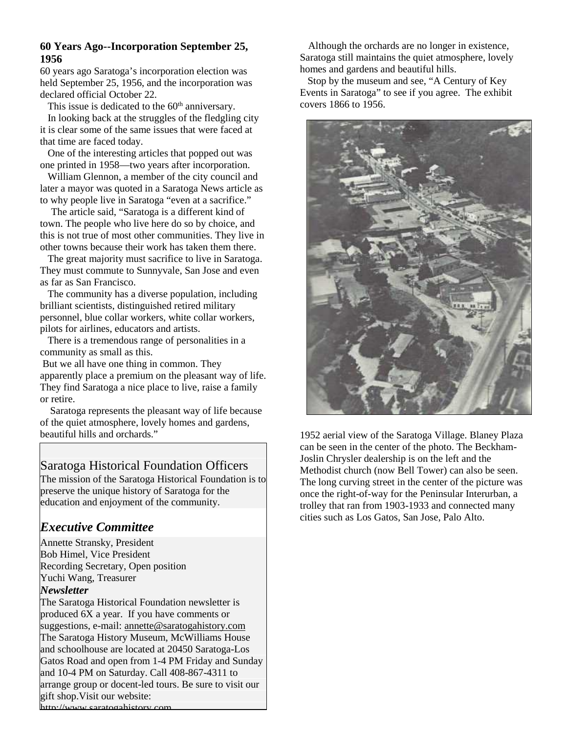## **60 Years Ago--Incorporation September 25, 1956**

60 years ago Saratoga's incorporation election was held September 25, 1956, and the incorporation was declared official October 22.

This issue is dedicated to the 60<sup>th</sup> anniversary.

In looking back at the struggles of the fledgling city it is clear some of the same issues that were faced at that time are faced today.

One of the interesting articles that popped out was one printed in 1958—two years after incorporation.

William Glennon, a member of the city council and later a mayor was quoted in a Saratoga News article as to why people live in Saratoga "even at a sacrifice."

The article said, "Saratoga is a different kind of town. The people who live here do so by choice, and this is not true of most other communities. They live in other towns because their work has taken them there.

The great majority must sacrifice to live in Saratoga. They must commute to Sunnyvale, San Jose and even as far as San Francisco.

The community has a diverse population, including brilliant scientists, distinguished retired military personnel, blue collar workers, white collar workers, pilots for airlines, educators and artists.

There is a tremendous range of personalities in a community as small as this.

But we all have one thing in common. They apparently place a premium on the pleasant way of life. They find Saratoga a nice place to live, raise a family or retire.

Saratoga represents the pleasant way of life because of the quiet atmosphere, lovely homes and gardens, beautiful hills and orchards."

# Saratoga Historical Foundation Officers

The mission of the Saratoga Historical Foundation is to preserve the unique history of Saratoga for the education and enjoyment of the community.

# *Executive Committee*

Annette Stransky, President Bob Himel, Vice President Recording Secretary, Open position Yuchi Wang, Treasurer *Newsletter*

The Saratoga Historical Foundation newsletter is produced 6X a year. If you have comments or suggestions, e-mail: **annette@saratogahistory.com** The Saratoga History Museum, McWilliams House and schoolhouse are located at 20450 Saratoga-Los Gatos Road and open from 1-4 PM Friday and Sunday and 10-4 PM on Saturday. Call 408-867-4311 to arrange group or docent-led tours. Be sure to visit our gift shop.Visit our website:

Although the orchards are no longer in existence, Saratoga still maintains the quiet atmosphere, lovely homes and gardens and beautiful hills.

Stop by the museum and see, "A Century of Key Events in Saratoga" to see if you agree. The exhibit covers 1866 to 1956.



1952 aerial view of the Saratoga Village. Blaney Plaza can be seen in the center of the photo. The Beckham- Joslin Chrysler dealership is on the left and the Methodist church (now Bell Tower) can also be seen. The long curving street in the center of the picture was once the right-of-way for the Peninsular Interurban, a trolley that ran from 1903-1933 and connected many cities such as Los Gatos, San Jose, Palo Alto.

http://www.saratogahistory.com.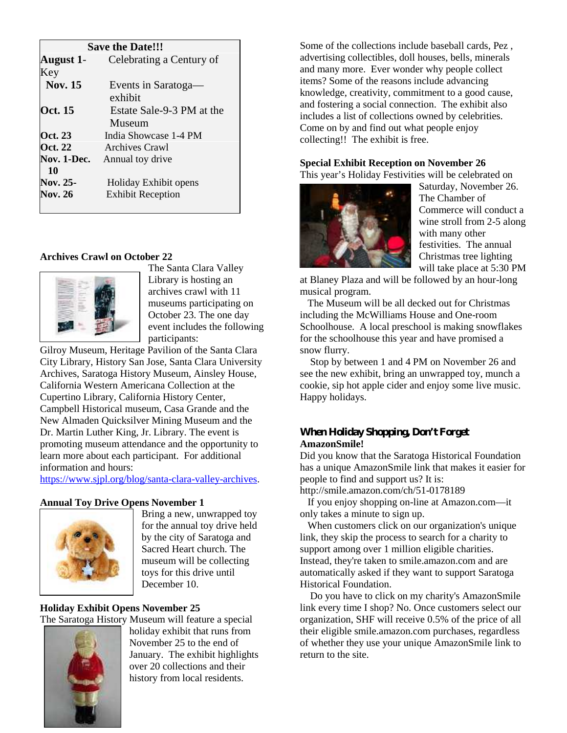| <b>Save the Date!!!</b> |                           |
|-------------------------|---------------------------|
| August 1-               | Celebrating a Century of  |
| Key                     |                           |
| <b>Nov. 15</b>          | Events in Saratoga—       |
|                         | exhibit                   |
| <b>Oct.</b> 15          | Estate Sale-9-3 PM at the |
|                         | Museum                    |
| Oct. 23                 | India Showcase 1-4 PM     |
| Oct. 22                 | Archives Crawl            |
| Nov. 1-Dec.             | Annual toy drive          |
| 10                      |                           |
| <b>Nov. 25-</b>         | Holiday Exhibit opens     |
| <b>Nov. 26</b>          | <b>Exhibit Reception</b>  |
|                         |                           |

## **Archives Crawl on October 22**

**January 23** Membership Meeting



The Santa Clara Valley Library is hosting an archives crawl with 11 museums participating on October 23. The one day event includes the following participants:

Gilroy Museum, Heritage Pavilion of the Santa Clara City Library, History San Jose, Santa Clara University Archives, Saratoga History Museum, Ainsley House, California Western Americana Collection at the Cupertino Library, California History Center, Campbell Historical museum, Casa Grande and the New Almaden Quicksilver Mining Museum and the Dr. Martin Luther King, Jr. Library. The event is promoting museum attendance and the opportunity to learn more about each participant. For additional information and hours:

https://www.sjpl.org/blog/santa-clara-valley-archives.

### **Annual Toy Drive Opens November 1**



Bring a new, unwrapped toy for the annual toy drive held by the city of Saratoga and Sacred Heart church. The museum will be collecting toys for this drive until December 10.

# **Holiday Exhibit Opens November 25**

The Saratoga History Museum will feature a special holiday exhibit that runs from November 25 to the end of January. The exhibit highlights over 20 collections and their history from local residents.

Some of the collections include baseball cards, Pez , advertising collectibles, doll houses, bells, minerals and many more. Ever wonder why people collect items? Some of the reasons include advancing knowledge, creativity, commitment to a good cause, and fostering a social connection. The exhibit also includes a list of collections owned by celebrities. Come on by and find out what people enjoy collecting!! The exhibit is free.

## **Special Exhibit Reception on November 26**

This year's Holiday Festivities will be celebrated on



Saturday, November 26. The Chamber of Commerce will conduct a wine stroll from 2-5 along with many other festivities. The annual Christmas tree lighting will take place at 5:30 PM

at Blaney Plaza and will be followed by an hour-long musical program.

The Museum will be all decked out for Christmas including the McWilliams House and One-room Schoolhouse. A local preschool is making snowflakes for the schoolhouse this year and have promised a snow flurry.

Stop by between 1 and 4 PM on November 26 and see the new exhibit, bring an unwrapped toy, munch a cookie, sip hot apple cider and enjoy some live music. Happy holidays.

### **When Holiday Shopping, Don't Forget AmazonSmile!**

Did you know that the Saratoga Historical Foundation has a unique AmazonSmile link that makes it easier for people to find and support us? It is:

http://smile.amazon.com/ch/51-0178189

If you enjoy shopping on-line at Amazon.com—it only takes a minute to sign up.

When customers click on our organization's unique link, they skip the process to search for a charity to support among over 1 million eligible charities. Instead, they're taken to smile.amazon.com and are automatically asked if they want to support Saratoga Historical Foundation.

Do you have to click on my charity's AmazonSmile link every time I shop? No. Once customers select our organization, SHF will receive 0.5% of the price of all their eligible smile.amazon.com purchases, regardless of whether they use your unique AmazonSmile link to return to the site.

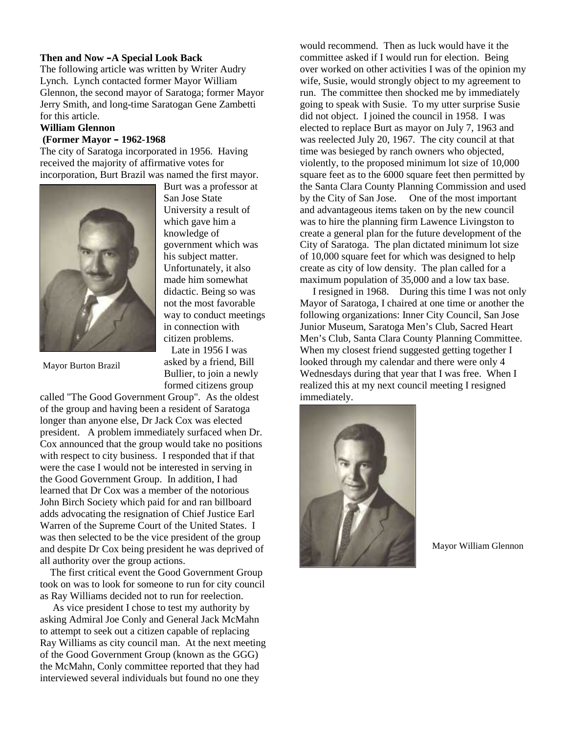#### **Then and Now –A Special Look Back**

The following article was written by Writer Audry Lynch. Lynch contacted former Mayor William Glennon, the second mayor of Saratoga; former Mayor Jerry Smith, and long-time Saratogan Gene Zambetti for this article.

#### **William Glennon**

#### **(Former Mayor – 1962-1968**

The city of Saratoga incorporated in 1956. Having received the majority of affirmative votes for incorporation, Burt Brazil was named the first mayor.



Mayor Burton Brazil

Burt was a professor at San Jose State University a result of which gave him a knowledge of government which was his subject matter. Unfortunately, it also made him somewhat didactic. Being so was not the most favorable way to conduct meetings in connection with citizen problems.

Late in 1956 I was asked by a friend, Bill Bullier, to join a newly formed citizens group

called "The Good Government Group". As the oldest of the group and having been a resident of Saratoga longer than anyone else, Dr Jack Cox was elected president. A problem immediately surfaced when Dr. Cox announced that the group would take no positions with respect to city business. I responded that if that were the case I would not be interested in serving in the Good Government Group. In addition, I had learned that Dr Cox was a member of the notorious John Birch Society which paid for and ran billboard adds advocating the resignation of Chief Justice Earl Warren of the Supreme Court of the United States. I was then selected to be the vice president of the group and despite Dr Cox being president he was deprived of all authority over the group actions.

The first critical event the Good Government Group took on was to look for someone to run for city council as Ray Williams decided not to run for reelection.

As vice president I chose to test my authority by asking Admiral Joe Conly and General Jack McMahn to attempt to seek out a citizen capable of replacing Ray Williams as city council man. At the next meeting of the Good Government Group (known as the GGG) the McMahn, Conly committee reported that they had interviewed several individuals but found no one they

would recommend. Then as luck would have it the committee asked if I would run for election. Being over worked on other activities I was of the opinion my wife, Susie, would strongly object to my agreement to run. The committee then shocked me by immediately going to speak with Susie. To my utter surprise Susie did not object. I joined the council in 1958. I was elected to replace Burt as mayor on July 7, 1963 and was reelected July 20, 1967. The city council at that time was besieged by ranch owners who objected, violently, to the proposed minimum lot size of 10,000 square feet as to the 6000 square feet then permitted by the Santa Clara County Planning Commission and used by the City of San Jose. One of the most important and advantageous items taken on by the new council was to hire the planning firm Lawence Livingston to create a general plan for the future development of the City of Saratoga. The plan dictated minimum lot size of 10,000 square feet for which was designed to help create as city of low density. The plan called for a maximum population of 35,000 and a low tax base.

I resigned in 1968. During this time I was not only Mayor of Saratoga, I chaired at one time or another the following organizations: Inner City Council, San Jose Junior Museum, Saratoga Men's Club, Sacred Heart Men's Club, Santa Clara County Planning Committee. When my closest friend suggested getting together I looked through my calendar and there were only 4 Wednesdays during that year that I was free. When I realized this at my next council meeting I resigned immediately.



Mayor William Glennon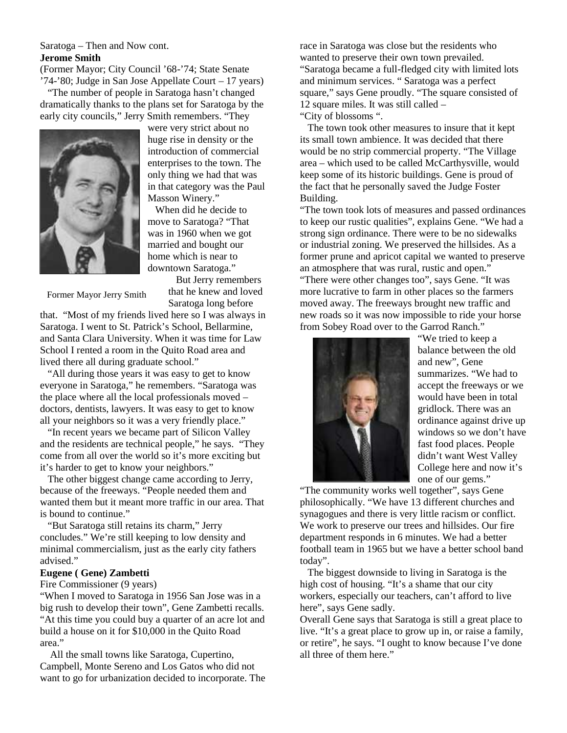Saratoga – Then and Now cont. **Jerome Smith**

(Former Mayor; City Council '68-'74; State Senate '74-'80; Judge in San Jose Appellate Court – 17 years)

"The number of people in Saratoga hasn't changed dramatically thanks to the plans set for Saratoga by the early city councils," Jerry Smith remembers. "They



were very strict about no huge rise in density or the introduction of commercial enterprises to the town. The only thing we had that was in that category was the Paul Masson Winery."

When did he decide to move to Saratoga? "That was in 1960 when we got married and bought our home which is near to downtown Saratoga."

Former Mayor Jerry Smith

But Jerry remembers that he knew and loved

Saratoga long before

that. "Most of my friends lived here so I was always in Saratoga. I went to St. Patrick's School, Bellarmine, and Santa Clara University. When it was time for Law School I rented a room in the Quito Road area and

lived there all during graduate school." "All during those years it was easy to get to know everyone in Saratoga," he remembers. "Saratoga was the place where all the local professionals moved – doctors, dentists, lawyers. It was easy to get to know all your neighbors so it was a very friendly place."

"In recent years we became part of Silicon Valley and the residents are technical people," he says. "They come from all over the world so it's more exciting but it's harder to get to know your neighbors."

The other biggest change came according to Jerry, because of the freeways. "People needed them and wanted them but it meant more traffic in our area. That is bound to continue."

"But Saratoga still retains its charm," Jerry concludes." We're still keeping to low density and minimal commercialism, just as the early city fathers advised."

#### **Eugene ( Gene) Zambetti**

Fire Commissioner (9 years)

"When I moved to Saratoga in 1956 San Jose was in a big rush to develop their town", Gene Zambetti recalls. "At this time you could buy a quarter of an acre lot and build a house on it for \$10,000 in the Quito Road area."

All the small towns like Saratoga, Cupertino, Campbell, Monte Sereno and Los Gatos who did not want to go for urbanization decided to incorporate. The race in Saratoga was close but the residents who wanted to preserve their own town prevailed. "Saratoga became a full-fledged city with limited lots and minimum services. " Saratoga was a perfect square," says Gene proudly. "The square consisted of 12 square miles. It was still called –

"City of blossoms ".

The town took other measures to insure that it kept its small town ambience. It was decided that there would be no strip commercial property. "The Village area – which used to be called McCarthysville, would keep some of its historic buildings. Gene is proud of the fact that he personally saved the Judge Foster Building.

"The town took lots of measures and passed ordinances to keep our rustic qualities", explains Gene. "We had a strong sign ordinance. There were to be no sidewalks or industrial zoning. We preserved the hillsides. As a former prune and apricot capital we wanted to preserve an atmosphere that was rural, rustic and open."

"There were other changes too", says Gene. "It was more lucrative to farm in other places so the farmers moved away. The freeways brought new traffic and new roads so it was now impossible to ride your horse from Sobey Road over to the Garrod Ranch."



"We tried to keep a balance between the old and new", Gene summarizes. "We had to accept the freeways or we would have been in total gridlock. There was an ordinance against drive up windows so we don't have fast food places. People didn't want West Valley College here and now it's one of our gems."

"The community works well together", says Gene philosophically. "We have 13 different churches and synagogues and there is very little racism or conflict. We work to preserve our trees and hillsides. Our fire department responds in 6 minutes. We had a better football team in 1965 but we have a better school band today".

The biggest downside to living in Saratoga is the high cost of housing. "It's a shame that our city workers, especially our teachers, can't afford to live here", says Gene sadly.

Overall Gene says that Saratoga is still a great place to live. "It's a great place to grow up in, or raise a family, or retire", he says. "I ought to know because I've done all three of them here."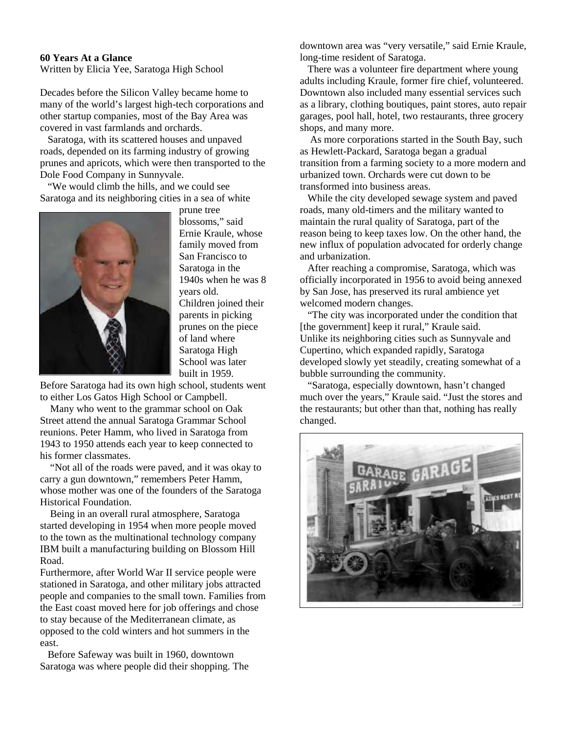#### **60 Years At a Glance**

Written by Elicia Yee, Saratoga High School

Decades before the Silicon Valley became home to many of the world's largest high-tech corporations and other startup companies, most of the Bay Area was covered in vast farmlands and orchards.

Saratoga, with its scattered houses and unpaved roads, depended on its farming industry of growing prunes and apricots, which were then transported to the Dole Food Company in Sunnyvale.

"We would climb the hills, and we could see Saratoga and its neighboring cities in a sea of white



prune tree blossoms," said Ernie Kraule, whose family moved from San Francisco to Saratoga in the 1940s when he was 8 years old. Children joined their parents in picking prunes on the piece of land where Saratoga High School was later built in 1959.

Before Saratoga had its own high school, students went to either Los Gatos High School or Campbell.

Many who went to the grammar school on Oak Street attend the annual Saratoga Grammar School reunions. Peter Hamm, who lived in Saratoga from 1943 to 1950 attends each year to keep connected to his former classmates.

"Not all of the roads were paved, and it was okay to carry a gun downtown," remembers Peter Hamm, whose mother was one of the founders of the Saratoga Historical Foundation.

Being in an overall rural atmosphere, Saratoga started developing in 1954 when more people moved to the town as the multinational technology company IBM built a manufacturing building on Blossom Hill Road.

Furthermore, after World War II service people were stationed in Saratoga, and other military jobs attracted people and companies to the small town. Families from the East coast moved here for job offerings and chose to stay because of the Mediterranean climate, as opposed to the cold winters and hot summers in the east.

Before Safeway was built in 1960, downtown Saratoga was where people did their shopping. The downtown area was "very versatile," said Ernie Kraule, long-time resident of Saratoga.

There was a volunteer fire department where young adults including Kraule, former fire chief, volunteered. Downtown also included many essential services such as a library, clothing boutiques, paint stores, auto repair garages, pool hall, hotel, two restaurants, three grocery shops, and many more.

As more corporations started in the South Bay, such as Hewlett-Packard, Saratoga began a gradual transition from a farming society to a more modern and urbanized town. Orchards were cut down to be transformed into business areas.

While the city developed sewage system and paved roads, many old-timers and the military wanted to maintain the rural quality of Saratoga, part of the reason being to keep taxes low. On the other hand, the new influx of population advocated for orderly change and urbanization.

After reaching a compromise, Saratoga, which was officially incorporated in 1956 to avoid being annexed by San Jose, has preserved its rural ambience yet welcomed modern changes.

"The city was incorporated under the condition that [the government] keep it rural," Kraule said. Unlike its neighboring cities such as Sunnyvale and Cupertino, which expanded rapidly, Saratoga developed slowly yet steadily, creating somewhat of a bubble surrounding the community.

"Saratoga, especially downtown, hasn't changed much over the years," Kraule said. "Just the stores and the restaurants; but other than that, nothing has really changed.

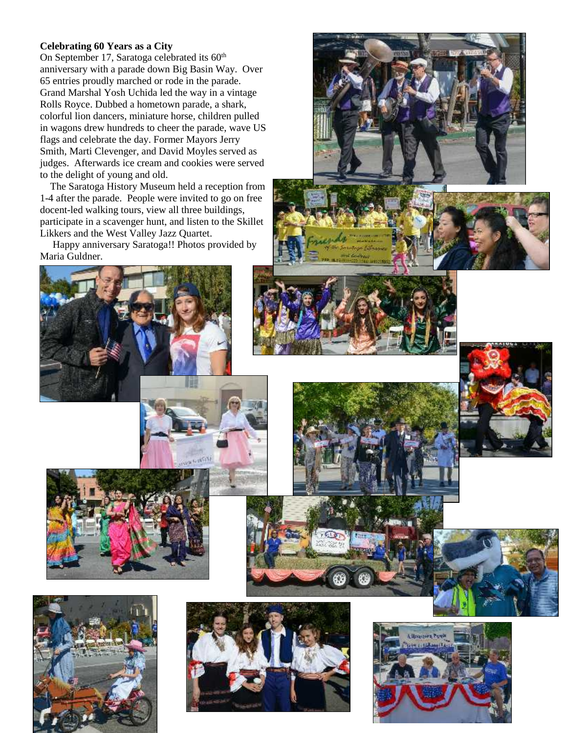### **Celebrating 60 Years as a City**

On September 17, Saratoga celebrated its  $60<sup>th</sup>$ anniversary with a parade down Big Basin Way. Over 65 entries proudly marched or rode in the parade. Grand Marshal Yosh Uchida led the way in a vintage Rolls Royce. Dubbed a hometown parade, a shark, colorful lion dancers, miniature horse, children pulled in wagons drew hundreds to cheer the parade, wave US flags and celebrate the day. Former Mayors Jerry Smith, Marti Clevenger, and David Moyles served as judges. Afterwards ice cream and cookies were served to the delight of young and old.

The Saratoga History Museum held a reception from 1-4 after the parade. People were invited to go on free docent-led walking tours, view all three buildings, participate in a scavenger hunt, and listen to the Skillet Likkers and the West Valley Jazz Quartet.

Happy anniversary Saratoga!! Photos provided by Maria Guldner.